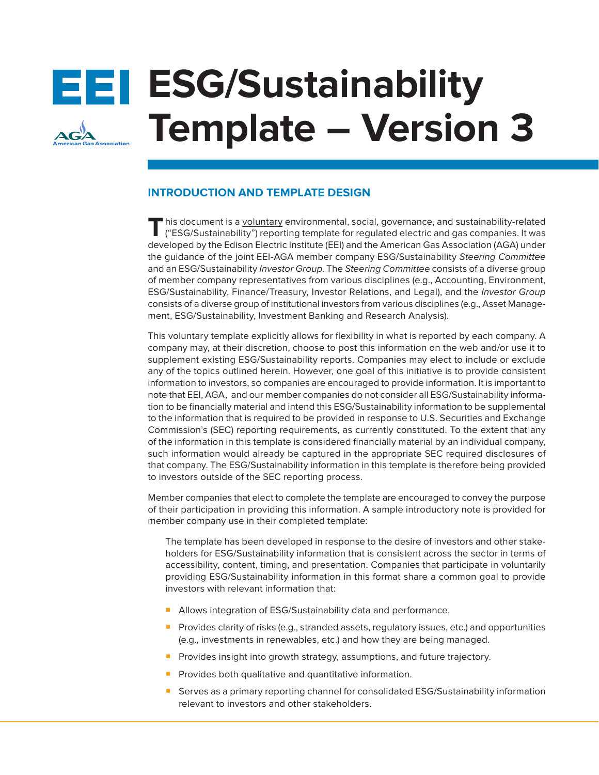# **EEI ESG/Sustainability Template – Version 3**

# **INTRODUCTION AND TEMPLATE DESIGN**

**T**his document is a voluntary environmental, social, governance, and sustainability-related ("ESG/Sustainability") reporting template for regulated electric and gas companies. It was developed by the Edison Electric Institute (EEI) and the American Gas Association (AGA) under the guidance of the joint EEI-AGA member company ESG/Sustainability *Steering Committee*  and an ESG/Sustainability *Investor Group*. The *Steering Committee* consists of a diverse group of member company representatives from various disciplines (e.g., Accounting, Environment, ESG/Sustainability, Finance/Treasury, Investor Relations, and Legal), and the *Investor Group*  consists of a diverse group of institutional investors from various disciplines (e.g., Asset Management, ESG/Sustainability, Investment Banking and Research Analysis).

This voluntary template explicitly allows for flexibility in what is reported by each company. A company may, at their discretion, choose to post this information on the web and/or use it to supplement existing ESG/Sustainability reports. Companies may elect to include or exclude any of the topics outlined herein. However, one goal of this initiative is to provide consistent information to investors, so companies are encouraged to provide information. It is important to note that EEI, AGA, and our member companies do not consider all ESG/Sustainability information to be financially material and intend this ESG/Sustainability information to be supplemental to the information that is required to be provided in response to U.S. Securities and Exchange Commission's (SEC) reporting requirements, as currently constituted. To the extent that any of the information in this template is considered financially material by an individual company, such information would already be captured in the appropriate SEC required disclosures of that company. The ESG/Sustainability information in this template is therefore being provided to investors outside of the SEC reporting process.

Member companies that elect to complete the template are encouraged to convey the purpose of their participation in providing this information. A sample introductory note is provided for member company use in their completed template:

The template has been developed in response to the desire of investors and other stakeholders for ESG/Sustainability information that is consistent across the sector in terms of accessibility, content, timing, and presentation. Companies that participate in voluntarily providing ESG/Sustainability information in this format share a common goal to provide investors with relevant information that:

- Allows integration of ESG/Sustainability data and performance.
- Provides clarity of risks (e.g., stranded assets, regulatory issues, etc.) and opportunities (e.g., investments in renewables, etc.) and how they are being managed.
- **Provides insight into growth strategy, assumptions, and future trajectory.**
- Provides both qualitative and quantitative information.
- Serves as a primary reporting channel for consolidated ESG/Sustainability information relevant to investors and other stakeholders.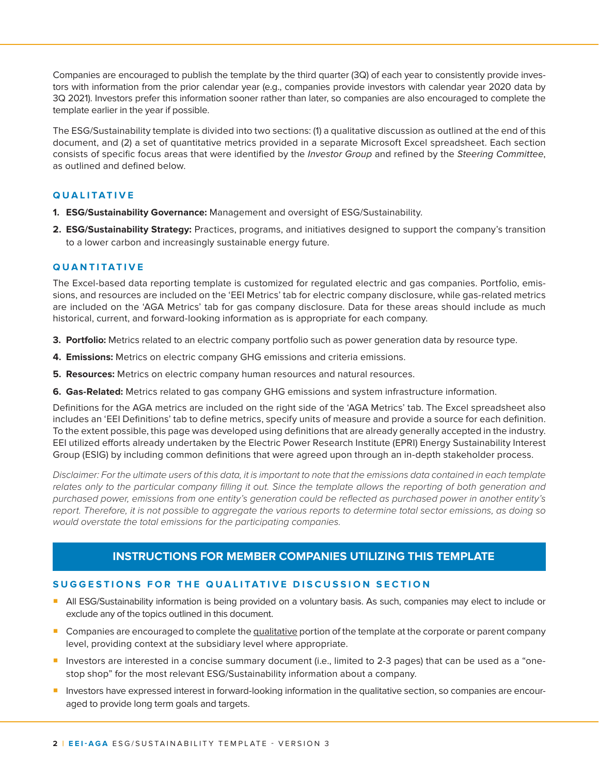Companies are encouraged to publish the template by the third quarter (3Q) of each year to consistently provide investors with information from the prior calendar year (e.g., companies provide investors with calendar year 2020 data by 3Q 2021). Investors prefer this information sooner rather than later, so companies are also encouraged to complete the template earlier in the year if possible.

The ESG/Sustainability template is divided into two sections: (1) a qualitative discussion as outlined at the end of this document, and (2) a set of quantitative metrics provided in a separate Microsoft Excel spreadsheet. Each section consists of specific focus areas that were identified by the *Investor Group* and refined by the *Steering Committee*, as outlined and defined below.

## **Q U A L I T A T I V E**

- **1. ESG/Sustainability Governance:** Management and oversight of ESG/Sustainability.
- **2. ESG/Sustainability Strategy:** Practices, programs, and initiatives designed to support the company's transition to a lower carbon and increasingly sustainable energy future.

## **QUANTITATIVE**

The Excel-based data reporting template is customized for regulated electric and gas companies. Portfolio, emissions, and resources are included on the 'EEI Metrics' tab for electric company disclosure, while gas-related metrics are included on the 'AGA Metrics' tab for gas company disclosure. Data for these areas should include as much historical, current, and forward-looking information as is appropriate for each company.

- **3. Portfolio:** Metrics related to an electric company portfolio such as power generation data by resource type.
- **4. Emissions:** Metrics on electric company GHG emissions and criteria emissions.
- **5. Resources:** Metrics on electric company human resources and natural resources.
- **6. Gas-Related:** Metrics related to gas company GHG emissions and system infrastructure information.

Definitions for the AGA metrics are included on the right side of the 'AGA Metrics' tab. The Excel spreadsheet also includes an 'EEI Definitions' tab to define metrics, specify units of measure and provide a source for each definition. To the extent possible, this page was developed using definitions that are already generally accepted in the industry. EEI utilized efforts already undertaken by the Electric Power Research Institute (EPRI) Energy Sustainability Interest Group (ESIG) by including common definitions that were agreed upon through an in-depth stakeholder process.

*Disclaimer: For the ultimate users of this data, it is important to note that the emissions data contained in each template relates only to the particular company filling it out. Since the template allows the reporting of both generation and purchased power, emissions from one entity's generation could be reflected as purchased power in another entity's report. Therefore, it is not possible to aggregate the various reports to determine total sector emissions, as doing so would overstate the total emissions for the participating companies.*

# **INSTRUCTIONS FOR MEMBER COMPANIES UTILIZING THIS TEMPLATE**

## **SUGGESTIONS FOR THE QUALITATIVE DISCUSSION SECTION**

- **•** All ESG/Sustainability information is being provided on a voluntary basis. As such, companies may elect to include or exclude any of the topics outlined in this document.
- **Companies are encouraged to complete the qualitative portion of the template at the corporate or parent company** level, providing context at the subsidiary level where appropriate.
- ¡ Investors are interested in a concise summary document (i.e., limited to 2-3 pages) that can be used as a "onestop shop" for the most relevant ESG/Sustainability information about a company.
- **Investors have expressed interest in forward-looking information in the qualitative section, so companies are encour**aged to provide long term goals and targets.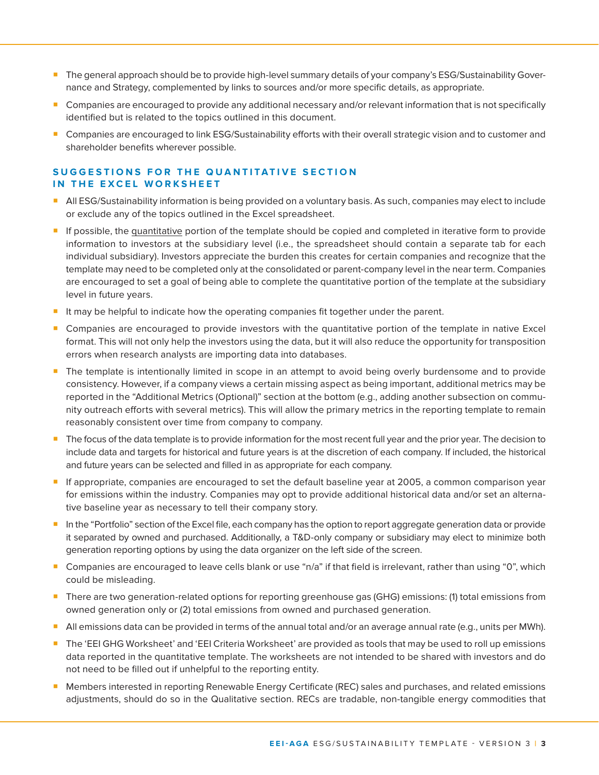- The general approach should be to provide high-level summary details of your company's ESG/Sustainability Governance and Strategy, complemented by links to sources and/or more specific details, as appropriate.
- Companies are encouraged to provide any additional necessary and/or relevant information that is not specifically identified but is related to the topics outlined in this document.
- Companies are encouraged to link ESG/Sustainability efforts with their overall strategic vision and to customer and shareholder benefits wherever possible.

## **SUGGESTIONS FOR THE QUANTITATIVE SECTION IN THE EXCEL WORKSHEET**

- **All ESG/Sustainability information is being provided on a voluntary basis. As such, companies may elect to include** or exclude any of the topics outlined in the Excel spreadsheet.
- **If possible, the quantitative portion of the template should be copied and completed in iterative form to provide** information to investors at the subsidiary level (i.e., the spreadsheet should contain a separate tab for each individual subsidiary). Investors appreciate the burden this creates for certain companies and recognize that the template may need to be completed only at the consolidated or parent-company level in the near term. Companies are encouraged to set a goal of being able to complete the quantitative portion of the template at the subsidiary level in future years.
- It may be helpful to indicate how the operating companies fit together under the parent.
- Companies are encouraged to provide investors with the quantitative portion of the template in native Excel format. This will not only help the investors using the data, but it will also reduce the opportunity for transposition errors when research analysts are importing data into databases.
- The template is intentionally limited in scope in an attempt to avoid being overly burdensome and to provide consistency. However, if a company views a certain missing aspect as being important, additional metrics may be reported in the "Additional Metrics (Optional)" section at the bottom (e.g., adding another subsection on community outreach efforts with several metrics). This will allow the primary metrics in the reporting template to remain reasonably consistent over time from company to company.
- The focus of the data template is to provide information for the most recent full year and the prior year. The decision to include data and targets for historical and future years is at the discretion of each company. If included, the historical and future years can be selected and filled in as appropriate for each company.
- ¡ If appropriate, companies are encouraged to set the default baseline year at 2005, a common comparison year for emissions within the industry. Companies may opt to provide additional historical data and/or set an alternative baseline year as necessary to tell their company story.
- In the "Portfolio" section of the Excel file, each company has the option to report aggregate generation data or provide it separated by owned and purchased. Additionally, a T&D-only company or subsidiary may elect to minimize both generation reporting options by using the data organizer on the left side of the screen.
- ¡ Companies are encouraged to leave cells blank or use "n/a" if that field is irrelevant, rather than using "0", which could be misleading.
- There are two generation-related options for reporting greenhouse gas (GHG) emissions: (1) total emissions from owned generation only or (2) total emissions from owned and purchased generation.
- All emissions data can be provided in terms of the annual total and/or an average annual rate (e.g., units per MWh).
- The 'EEI GHG Worksheet' and 'EEI Criteria Worksheet' are provided as tools that may be used to roll up emissions data reported in the quantitative template. The worksheets are not intended to be shared with investors and do not need to be filled out if unhelpful to the reporting entity.
- Members interested in reporting Renewable Energy Certificate (REC) sales and purchases, and related emissions adjustments, should do so in the Qualitative section. RECs are tradable, non-tangible energy commodities that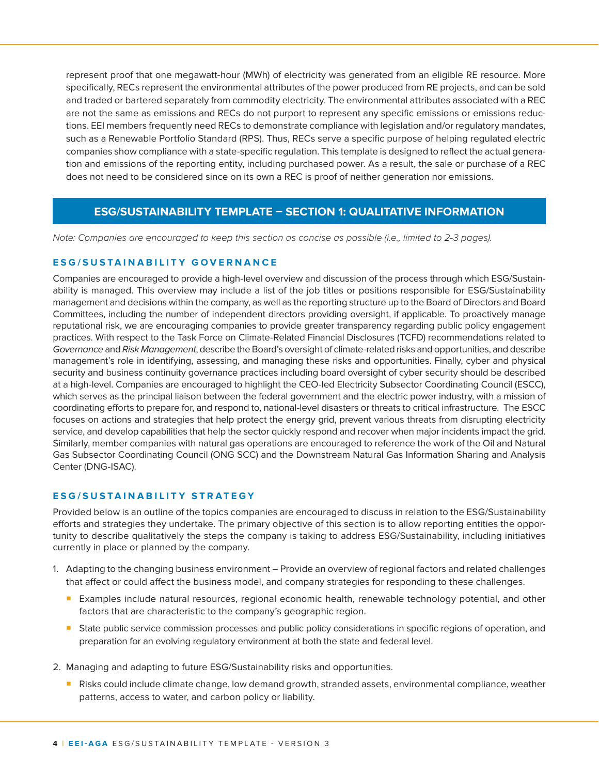represent proof that one megawatt-hour (MWh) of electricity was generated from an eligible RE resource. More specifically, RECs represent the environmental attributes of the power produced from RE projects, and can be sold and traded or bartered separately from commodity electricity. The environmental attributes associated with a REC are not the same as emissions and RECs do not purport to represent any specific emissions or emissions reductions. EEI members frequently need RECs to demonstrate compliance with legislation and/or regulatory mandates, such as a Renewable Portfolio Standard (RPS). Thus, RECs serve a specific purpose of helping regulated electric companies show compliance with a state-specific regulation. This template is designed to reflect the actual generation and emissions of the reporting entity, including purchased power. As a result, the sale or purchase of a REC does not need to be considered since on its own a REC is proof of neither generation nor emissions.

# **ESG/SUSTAINABILITY TEMPLATE – SECTION 1: QUALITATIVE INFORMATION**

*Note: Companies are encouraged to keep this section as concise as possible (i.e., limited to 2-3 pages).* 

#### **ESG/SUSTAINABILITY GOVERNANCE**

Companies are encouraged to provide a high-level overview and discussion of the process through which ESG/Sustainability is managed. This overview may include a list of the job titles or positions responsible for ESG/Sustainability management and decisions within the company, as well as the reporting structure up to the Board of Directors and Board Committees, including the number of independent directors providing oversight, if applicable. To proactively manage reputational risk, we are encouraging companies to provide greater transparency regarding public policy engagement practices. With respect to the Task Force on Climate-Related Financial Disclosures (TCFD) recommendations related to *Governance* and *Risk Management*, describe the Board's oversight of climate-related risks and opportunities, and describe management's role in identifying, assessing, and managing these risks and opportunities. Finally, cyber and physical security and business continuity governance practices including board oversight of cyber security should be described at a high-level. Companies are encouraged to highlight the CEO-led Electricity Subsector Coordinating Council (ESCC), which serves as the principal liaison between the federal government and the electric power industry, with a mission of coordinating efforts to prepare for, and respond to, national-level disasters or threats to critical infrastructure. The ESCC focuses on actions and strategies that help protect the energy grid, prevent various threats from disrupting electricity service, and develop capabilities that help the sector quickly respond and recover when major incidents impact the grid. Similarly, member companies with natural gas operations are encouraged to reference the work of the Oil and Natural Gas Subsector Coordinating Council (ONG SCC) and the Downstream Natural Gas Information Sharing and Analysis Center (DNG-ISAC).

#### **E S G / S U S T A I N A B I L I T Y S T R A T E G Y**

Provided below is an outline of the topics companies are encouraged to discuss in relation to the ESG/Sustainability efforts and strategies they undertake. The primary objective of this section is to allow reporting entities the opportunity to describe qualitatively the steps the company is taking to address ESG/Sustainability, including initiatives currently in place or planned by the company.

- 1. Adapting to the changing business environment Provide an overview of regional factors and related challenges that affect or could affect the business model, and company strategies for responding to these challenges.
	- Examples include natural resources, regional economic health, renewable technology potential, and other factors that are characteristic to the company's geographic region.
	- State public service commission processes and public policy considerations in specific regions of operation, and preparation for an evolving regulatory environment at both the state and federal level.
- 2. Managing and adapting to future ESG/Sustainability risks and opportunities.
	- Risks could include climate change, low demand growth, stranded assets, environmental compliance, weather patterns, access to water, and carbon policy or liability.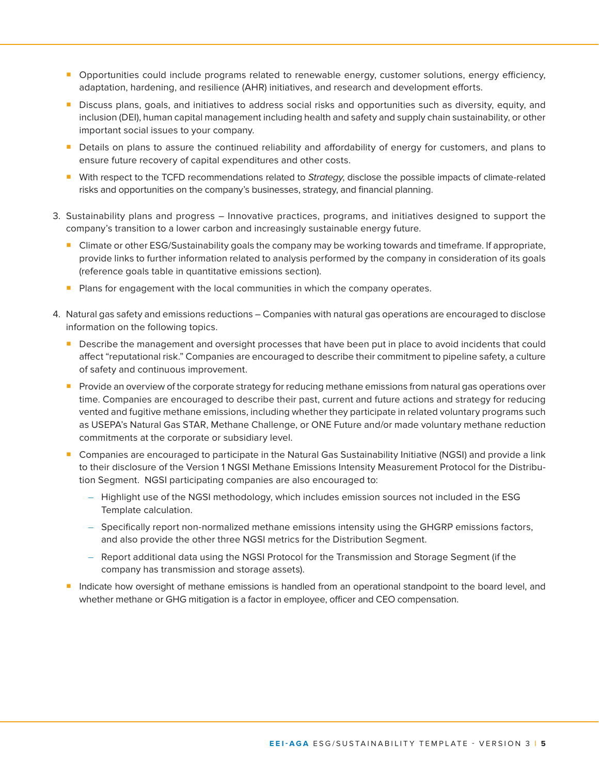- ¡ Opportunities could include programs related to renewable energy, customer solutions, energy efficiency, adaptation, hardening, and resilience (AHR) initiatives, and research and development efforts.
- **•** Discuss plans, goals, and initiatives to address social risks and opportunities such as diversity, equity, and inclusion (DEI), human capital management including health and safety and supply chain sustainability, or other important social issues to your company.
- **•** Details on plans to assure the continued reliability and affordability of energy for customers, and plans to ensure future recovery of capital expenditures and other costs.
- ¡ With respect to the TCFD recommendations related to *Strategy*, disclose the possible impacts of climate-related risks and opportunities on the company's businesses, strategy, and financial planning.
- 3. Sustainability plans and progress Innovative practices, programs, and initiatives designed to support the company's transition to a lower carbon and increasingly sustainable energy future.
	- ¡ Climate or other ESG/Sustainability goals the company may be working towards and timeframe. If appropriate, provide links to further information related to analysis performed by the company in consideration of its goals (reference goals table in quantitative emissions section).
	- **Plans for engagement with the local communities in which the company operates.**
- 4. Natural gas safety and emissions reductions Companies with natural gas operations are encouraged to disclose information on the following topics.
	- **Describe the management and oversight processes that have been put in place to avoid incidents that could** affect "reputational risk." Companies are encouraged to describe their commitment to pipeline safety, a culture of safety and continuous improvement.
	- **•** Provide an overview of the corporate strategy for reducing methane emissions from natural gas operations over time. Companies are encouraged to describe their past, current and future actions and strategy for reducing vented and fugitive methane emissions, including whether they participate in related voluntary programs such as USEPA's Natural Gas STAR, Methane Challenge, or ONE Future and/or made voluntary methane reduction commitments at the corporate or subsidiary level.
	- Companies are encouraged to participate in the Natural Gas Sustainability Initiative (NGSI) and provide a link to their disclosure of the Version 1 NGSI Methane Emissions Intensity Measurement Protocol for the Distribution Segment. NGSI participating companies are also encouraged to:
		- Highlight use of the NGSI methodology, which includes emission sources not included in the ESG Template calculation.
		- Specifically report non-normalized methane emissions intensity using the GHGRP emissions factors, and also provide the other three NGSI metrics for the Distribution Segment.
		- Report additional data using the NGSI Protocol for the Transmission and Storage Segment (if the company has transmission and storage assets).
	- **· Indicate how oversight of methane emissions is handled from an operational standpoint to the board level, and** whether methane or GHG mitigation is a factor in employee, officer and CEO compensation.